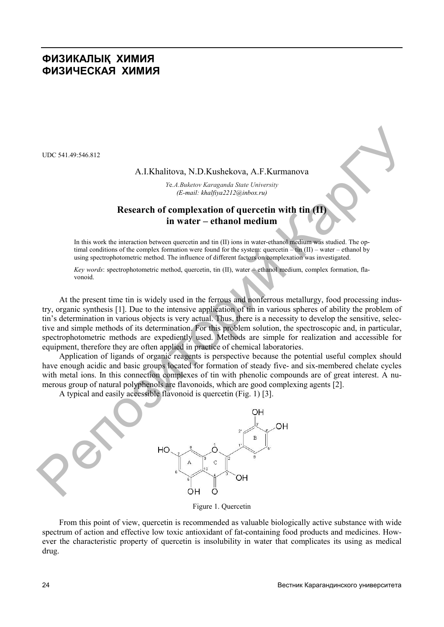# **ФИЗИКАЛЫҚ ХИМИЯ ФИЗИЧЕСКАЯ ХИМИЯ**

UDC 541.49:546.812

#### A.I.Khalitova, N.D.Kushekova, A.F.Kurmanova

*Y*e*.A.Buketov Karaganda State University (E-mail: khalfiya2212@inbox.ru)*

### **Research of complexation of quercetin with tin (II) in water – ethanol medium**

In this work the interaction between quercetin and tin (II) ions in water-ethanol medium was studied. The optimal conditions of the complex formation were found for the system: quercetin – tin (II) – water – ethanol by using spectrophotometric method. The influence of different factors on complexation was investigated.

*Key words*: spectrophotometric method, quercetin, tin (II), water – ethanol medium, complex formation, flavonoid.

At the present time tin is widely used in the ferrous and nonferrous metallurgy, food processing industry, organic synthesis [1]. Due to the intensive application of tin in various spheres of ability the problem of tin's determination in various objects is very actual. Thus, there is a necessity to develop the sensitive, selective and simple methods of its determination. For this problem solution, the spectroscopic and, in particular, spectrophotometric methods are expediently used. Methods are simple for realization and accessible for equipment, therefore they are often applied in practice of chemical laboratories.

Application of ligands of organic reagents is perspective because the potential useful complex should have enough acidic and basic groups located for formation of steady five- and six-membered chelate cycles with metal ions. In this connection complexes of tin with phenolic compounds are of great interest. A numerous group of natural polyphenols are flavonoids, which are good complexing agents [2].

A typical and easily accessible flavonoid is quercetin (Fig. 1) [3].



Figure 1. Quercetin

From this point of view, quercetin is recommended as valuable biologically active substance with wide spectrum of action and effective low toxic antioxidant of fat-containing food products and medicines. However the characteristic property of quercetin is insolubility in water that complicates its using as medical drug.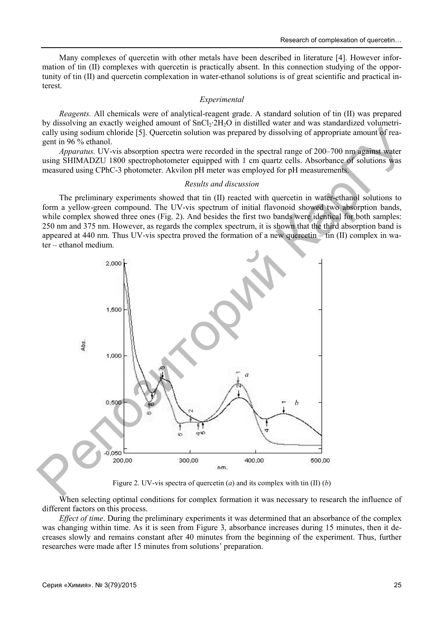Many complexes of quercetin with other metals have been described in literature [4]. However information of tin (II) complexes with quercetin is practically absent. In this connection studying of the opportunity of tin (II) and quercetin complexation in water-ethanol solutions is of great scientific and practical interest.

#### *Experimental*

*Reagents.* All chemicals were of analytical-reagent grade. A standard solution of tin (II) was prepared by dissolving an exactly weighed amount of SnCl<sub>2</sub>·2H<sub>2</sub>O in distilled water and was standardized volumetrically using sodium chloride [5]. Quercetin solution was prepared by dissolving of appropriate amount of reagent in 96 % ethanol.

*Apparatus.* UV-vis absorption spectra were recorded in the spectral range of 200–700 nm against water using SHIMADZU 1800 spectrophotometer equipped with 1 cm quartz cells. Absorbance of solutions was measured using CPhC-3 photometer. Akvilon pH meter was employed for pH measurements.

#### *Results and discussion*

The preliminary experiments showed that tin (II) reacted with quercetin in water-ethanol solutions to form a yellow-green compound. The UV-vis spectrum of initial flavonoid showed two absorption bands, while complex showed three ones (Fig. 2). And besides the first two bands were identical for both samples: 250 nm and 375 nm. However, as regards the complex spectrum, it is shown that the third absorption band is appeared at 440 nm. Thus UV-vis spectra proved the formation of a new quercetin – tin (II) complex in water – ethanol medium.



Figure 2. UV-vis spectra of quercetin (*a*) and its complex with tin (II) (*b*)

When selecting optimal conditions for complex formation it was necessary to research the influence of different factors on this process.

*Effect of time*. During the preliminary experiments it was determined that an absorbance of the complex was changing within time. As it is seen from Figure 3, absorbance increases during 15 minutes, then it decreases slowly and remains constant after 40 minutes from the beginning of the experiment. Thus, further researches were made after 15 minutes from solutions' preparation.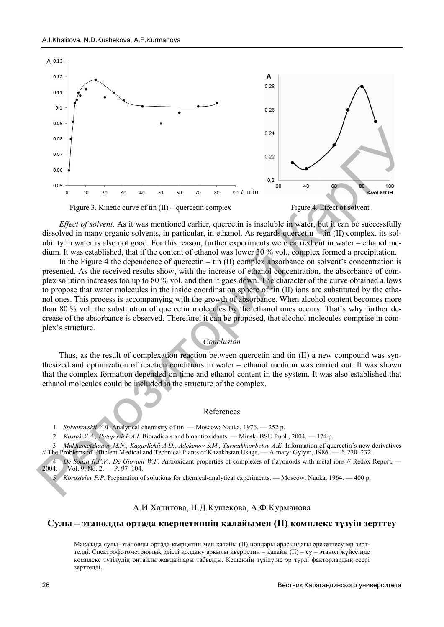

*Effect of solvent.* As it was mentioned earlier, quercetin is insoluble in water, but it can be successfully dissolved in many organic solvents, in particular, in ethanol. As regards quercetin – tin (II) complex, its solubility in water is also not good. For this reason, further experiments were carried out in water – ethanol medium. It was established, that if the content of ethanol was lower 30 % vol., complex formed a precipitation.

In the Figure 4 the dependence of quercetin – tin (II) complex absorbance on solvent's concentration is presented. As the received results show, with the increase of ethanol concentration, the absorbance of complex solution increases too up to 80 % vol. and then it goes down. The character of the curve obtained allows to propose that water molecules in the inside coordination sphere of tin (II) ions are substituted by the ethanol ones. This process is accompanying with the growth of absorbance. When alcohol content becomes more than 80 % vol. the substitution of q quercetin molecules by the ethanol ones occurs. . That's why further decrease of the absorbance is observed. Therefore, it can be proposed, that alcohol molecules comprise in complex's structure.

### *Conclusion*

Thus, as the result of complexation reaction between quercetin and tin (II) a new compound was synthesized and optimization of reaction conditions in water – ethanol medium was carried out. It was shown that the complex formation depended on time and ethanol content in the system. It was also established that ethanol molecules could be included in the structure of the complex.

#### References

1 Spivakovskii V.B. Analytical chemistry of tin. — Moscow: Nauka, 1976. — 252 p.

2 *Kostuk V.A., Potapovich A.I.* Bioradicals and bioantioxidants. — Minsk: BSU Publ., 2004. — 174 p.

3 Mukhametzhanov M.N., Kagarlickii A.D., Adekenov S.M., Turmukhambetov A.E. Information of quercetin's new derivatives // The Problems of Efficient Medical and Technical Plants of Kazakhstan Usage. — Almaty: Gylym, 1986. — P. 230–232.

4 *De Souza R.F.V., De Giovani W.F.* Antioxidant properties of complexes of flavonoids with metal ions // Redox Report. — 2004. — Vol. 9, No. 2. — P. 97–104.

5 *Korostelev P.P.* Preparation of solutions for chemical-analytical experiments. — Moscow: Nauka, 1964. — 400 p.

### A.И.Ха алитова, Н.Д.Кушекова, А.Ф.Курманова

### **Сулы – этанолды ортада к кверцетиннің қалайымен (II) компле екс түзуін зерттеу**

Мақалада сулы–этанолды ортада кверцетин мен қалайы (II) иондары арасындағы әрекеттесулер зерттелді. Спектрофотометриялық қ əдісті қолдану арқылы кверцетин – қалайы (II) – су – э этанол жүйесінде комплекс түзілудің оңтайлы ж жағдайлары табылды. Кешеннің түзілуіне əр түрлі фак кторлардың əсері зерттелді.